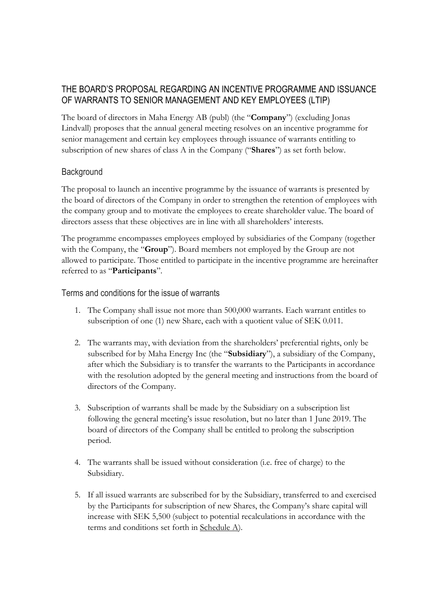# THE BOARD'S PROPOSAL REGARDING AN INCENTIVE PROGRAMME AND ISSUANCE OF WARRANTS TO SENIOR MANAGEMENT AND KEY EMPLOYEES (LTIP)

The board of directors in Maha Energy AB (publ) (the "**Company**") (excluding Jonas Lindvall) proposes that the annual general meeting resolves on an incentive programme for senior management and certain key employees through issuance of warrants entitling to subscription of new shares of class A in the Company ("**Shares**") as set forth below.

## **Background**

The proposal to launch an incentive programme by the issuance of warrants is presented by the board of directors of the Company in order to strengthen the retention of employees with the company group and to motivate the employees to create shareholder value. The board of directors assess that these objectives are in line with all shareholders' interests.

The programme encompasses employees employed by subsidiaries of the Company (together with the Company, the "**Group**"). Board members not employed by the Group are not allowed to participate. Those entitled to participate in the incentive programme are hereinafter referred to as "**Participants**".

Terms and conditions for the issue of warrants

- 1. The Company shall issue not more than 500,000 warrants. Each warrant entitles to subscription of one (1) new Share, each with a quotient value of SEK 0.011.
- 2. The warrants may, with deviation from the shareholders' preferential rights, only be subscribed for by Maha Energy Inc (the "**Subsidiary**"), a subsidiary of the Company, after which the Subsidiary is to transfer the warrants to the Participants in accordance with the resolution adopted by the general meeting and instructions from the board of directors of the Company.
- 3. Subscription of warrants shall be made by the Subsidiary on a subscription list following the general meeting's issue resolution, but no later than 1 June 2019. The board of directors of the Company shall be entitled to prolong the subscription period.
- 4. The warrants shall be issued without consideration (i.e. free of charge) to the Subsidiary.
- 5. If all issued warrants are subscribed for by the Subsidiary, transferred to and exercised by the Participants for subscription of new Shares, the Company's share capital will increase with SEK 5,500 (subject to potential recalculations in accordance with the terms and conditions set forth in Schedule A).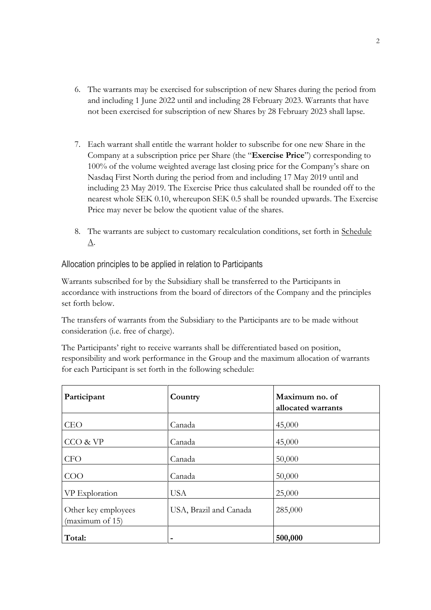- 6. The warrants may be exercised for subscription of new Shares during the period from and including 1 June 2022 until and including 28 February 2023. Warrants that have not been exercised for subscription of new Shares by 28 February 2023 shall lapse.
- 7. Each warrant shall entitle the warrant holder to subscribe for one new Share in the Company at a subscription price per Share (the "**Exercise Price**") corresponding to 100% of the volume weighted average last closing price for the Company's share on Nasdaq First North during the period from and including 17 May 2019 until and including 23 May 2019. The Exercise Price thus calculated shall be rounded off to the nearest whole SEK 0.10, whereupon SEK 0.5 shall be rounded upwards. The Exercise Price may never be below the quotient value of the shares.
- 8. The warrants are subject to customary recalculation conditions, set forth in Schedule A.

Allocation principles to be applied in relation to Participants

Warrants subscribed for by the Subsidiary shall be transferred to the Participants in accordance with instructions from the board of directors of the Company and the principles set forth below.

The transfers of warrants from the Subsidiary to the Participants are to be made without consideration (i.e. free of charge).

The Participants' right to receive warrants shall be differentiated based on position, responsibility and work performance in the Group and the maximum allocation of warrants for each Participant is set forth in the following schedule:

| Participant                            | Country                | Maximum no. of<br>allocated warrants |
|----------------------------------------|------------------------|--------------------------------------|
| <b>CEO</b>                             | Canada                 | 45,000                               |
| CCO & VP                               | Canada                 | 45,000                               |
| <b>CFO</b>                             | Canada                 | 50,000                               |
| COO                                    | Canada                 | 50,000                               |
| VP Exploration                         | <b>USA</b>             | 25,000                               |
| Other key employees<br>(maximum of 15) | USA, Brazil and Canada | 285,000                              |
| Total:                                 |                        | 500,000                              |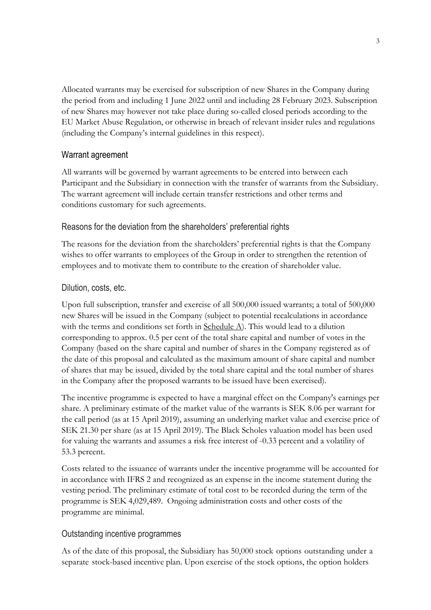Allocated warrants may be exercised for subscription of new Shares in the Company during the period from and including 1 June 2022 until and including 28 February 2023. Subscription of new Shares may however not take place during so-called closed periods according to the EU Market Abuse Regulation, or otherwise in breach of relevant insider rules and regulations (including the Company's internal guidelines in this respect).

### Warrant agreement

All warrants will be governed by warrant agreements to be entered into between each Participant and the Subsidiary in connection with the transfer of warrants from the Subsidiary. The warrant agreement will include certain transfer restrictions and other terms and conditions customary for such agreements.

### Reasons for the deviation from the shareholders' preferential rights

The reasons for the deviation from the shareholders' preferential rights is that the Company wishes to offer warrants to employees of the Group in order to strengthen the retention of employees and to motivate them to contribute to the creation of shareholder value.

### Dilution, costs, etc.

Upon full subscription, transfer and exercise of all 500,000 issued warrants; a total of 500,000 new Shares will be issued in the Company (subject to potential recalculations in accordance with the terms and conditions set forth in Schedule A). This would lead to a dilution corresponding to approx. 0.5 per cent of the total share capital and number of votes in the Company (based on the share capital and number of shares in the Company registered as of the date of this proposal and calculated as the maximum amount of share capital and number of shares that may be issued, divided by the total share capital and the total number of shares in the Company after the proposed warrants to be issued have been exercised).

The incentive programme is expected to have a marginal effect on the Company's earnings per share. A preliminary estimate of the market value of the warrants is SEK 8.06 per warrant for the call period (as at 15 April 2019), assuming an underlying market value and exercise price of SEK 21.30 per share (as at 15 April 2019). The Black Scholes valuation model has been used for valuing the warrants and assumes a risk free interest of -0.33 percent and a volatility of 53.3 percent.

Costs related to the issuance of warrants under the incentive programme will be accounted for in accordance with IFRS 2 and recognized as an expense in the income statement during the vesting period. The preliminary estimate of total cost to be recorded during the term of the programme is SEK 4,029,489. Ongoing administration costs and other costs of the programme are minimal.

### Outstanding incentive programmes

As of the date of this proposal, the Subsidiary has 50,000 stock options outstanding under a separate stock-based incentive plan. Upon exercise of the stock options, the option holders